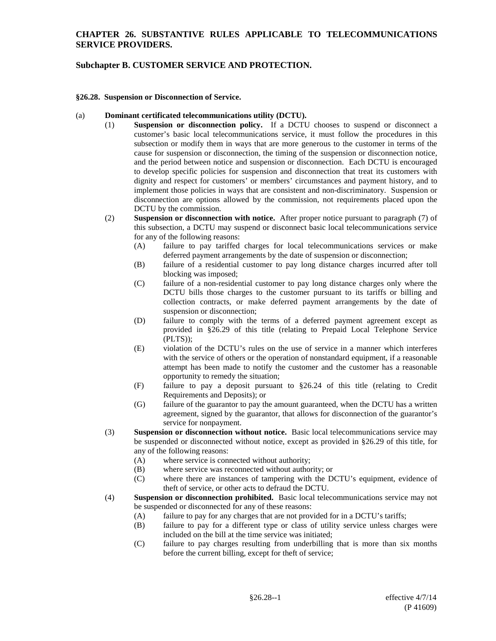## **Subchapter B. CUSTOMER SERVICE AND PROTECTION.**

#### **§26.28. Suspension or Disconnection of Service.**

#### (a) **Dominant certificated telecommunications utility (DCTU).**

- (1) **Suspension or disconnection policy.** If a DCTU chooses to suspend or disconnect a customer's basic local telecommunications service, it must follow the procedures in this subsection or modify them in ways that are more generous to the customer in terms of the cause for suspension or disconnection, the timing of the suspension or disconnection notice, and the period between notice and suspension or disconnection. Each DCTU is encouraged to develop specific policies for suspension and disconnection that treat its customers with dignity and respect for customers' or members' circumstances and payment history, and to implement those policies in ways that are consistent and non-discriminatory. Suspension or disconnection are options allowed by the commission, not requirements placed upon the DCTU by the commission.
- (2) **Suspension or disconnection with notice.** After proper notice pursuant to paragraph (7) of this subsection, a DCTU may suspend or disconnect basic local telecommunications service for any of the following reasons:
	- (A) failure to pay tariffed charges for local telecommunications services or make deferred payment arrangements by the date of suspension or disconnection;
	- (B) failure of a residential customer to pay long distance charges incurred after toll blocking was imposed;
	- (C) failure of a non-residential customer to pay long distance charges only where the DCTU bills those charges to the customer pursuant to its tariffs or billing and collection contracts, or make deferred payment arrangements by the date of suspension or disconnection;
	- (D) failure to comply with the terms of a deferred payment agreement except as provided in §26.29 of this title (relating to Prepaid Local Telephone Service (PLTS));
	- (E) violation of the DCTU's rules on the use of service in a manner which interferes with the service of others or the operation of nonstandard equipment, if a reasonable attempt has been made to notify the customer and the customer has a reasonable opportunity to remedy the situation;
	- (F) failure to pay a deposit pursuant to §26.24 of this title (relating to Credit Requirements and Deposits); or
	- (G) failure of the guarantor to pay the amount guaranteed, when the DCTU has a written agreement, signed by the guarantor, that allows for disconnection of the guarantor's service for nonpayment.
- (3) **Suspension or disconnection without notice.** Basic local telecommunications service may be suspended or disconnected without notice, except as provided in §26.29 of this title, for any of the following reasons:
	- (A) where service is connected without authority;
	- (B) where service was reconnected without authority; or
	- (C) where there are instances of tampering with the DCTU's equipment, evidence of theft of service, or other acts to defraud the DCTU.
- (4) **Suspension or disconnection prohibited.** Basic local telecommunications service may not be suspended or disconnected for any of these reasons:
	- (A) failure to pay for any charges that are not provided for in a DCTU's tariffs;
	- (B) failure to pay for a different type or class of utility service unless charges were included on the bill at the time service was initiated;
	- (C) failure to pay charges resulting from underbilling that is more than six months before the current billing, except for theft of service;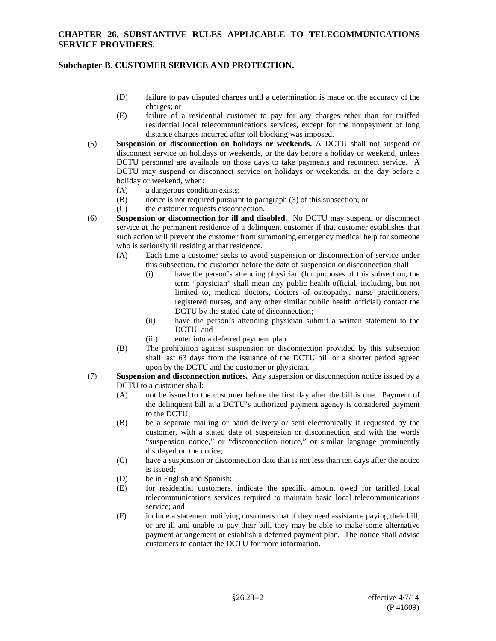# **Subchapter B. CUSTOMER SERVICE AND PROTECTION.**

- (D) failure to pay disputed charges until a determination is made on the accuracy of the charges; or
- (E) failure of a residential customer to pay for any charges other than for tariffed residential local telecommunications services, except for the nonpayment of long distance charges incurred after toll blocking was imposed.
- (5) **Suspension or disconnection on holidays or weekends.** A DCTU shall not suspend or disconnect service on holidays or weekends, or the day before a holiday or weekend, unless DCTU personnel are available on those days to take payments and reconnect service. A DCTU may suspend or disconnect service on holidays or weekends, or the day before a holiday or weekend, when:
	- (A) a dangerous condition exists;
	- (B) notice is not required pursuant to paragraph  $(3)$  of this subsection; or  $(C)$  the customer requests disconnection.
	- the customer requests disconnection.
- (6) **Suspension or disconnection for ill and disabled.** No DCTU may suspend or disconnect service at the permanent residence of a delinquent customer if that customer establishes that such action will prevent the customer from summoning emergency medical help for someone who is seriously ill residing at that residence.
	- (A) Each time a customer seeks to avoid suspension or disconnection of service under this subsection, the customer before the date of suspension or disconnection shall:
		- (i) have the person's attending physician (for purposes of this subsection, the term "physician" shall mean any public health official, including, but not limited to, medical doctors, doctors of osteopathy, nurse practitioners, registered nurses, and any other similar public health official) contact the DCTU by the stated date of disconnection;
		- (ii) have the person's attending physician submit a written statement to the DCTU; and
		- (iii) enter into a deferred payment plan.
	- (B) The prohibition against suspension or disconnection provided by this subsection shall last 63 days from the issuance of the DCTU bill or a shorter period agreed upon by the DCTU and the customer or physician.
- (7) **Suspension and disconnection notices.** Any suspension or disconnection notice issued by a DCTU to a customer shall:
	- (A) not be issued to the customer before the first day after the bill is due. Payment of the delinquent bill at a DCTU's authorized payment agency is considered payment to the DCTU;
	- (B) be a separate mailing or hand delivery or sent electronically if requested by the customer, with a stated date of suspension or disconnection and with the words "suspension notice," or "disconnection notice," or similar language prominently displayed on the notice;
	- (C) have a suspension or disconnection date that is not less than ten days after the notice is issued;
	- (D) be in English and Spanish;
	- (E) for residential customers, indicate the specific amount owed for tariffed local telecommunications services required to maintain basic local telecommunications service; and
	- (F) include a statement notifying customers that if they need assistance paying their bill, or are ill and unable to pay their bill, they may be able to make some alternative payment arrangement or establish a deferred payment plan. The notice shall advise customers to contact the DCTU for more information.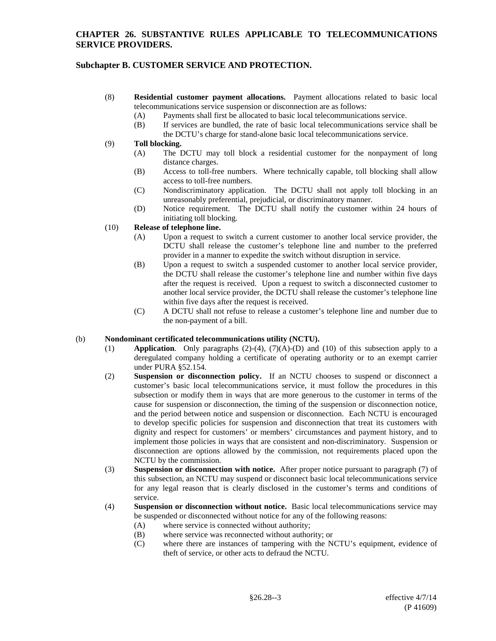# **Subchapter B. CUSTOMER SERVICE AND PROTECTION.**

- (8) **Residential customer payment allocations.** Payment allocations related to basic local telecommunications service suspension or disconnection are as follows:
	- (A) Payments shall first be allocated to basic local telecommunications service.
	- (B) If services are bundled, the rate of basic local telecommunications service shall be
	- the DCTU's charge for stand-alone basic local telecommunications service.

### (9) **Toll blocking.**

- (A) The DCTU may toll block a residential customer for the nonpayment of long distance charges.
- (B) Access to toll-free numbers. Where technically capable, toll blocking shall allow access to toll-free numbers.
- (C) Nondiscriminatory application. The DCTU shall not apply toll blocking in an unreasonably preferential, prejudicial, or discriminatory manner.
- (D) Notice requirement. The DCTU shall notify the customer within 24 hours of initiating toll blocking.

### (10) **Release of telephone line.**

- (A) Upon a request to switch a current customer to another local service provider, the DCTU shall release the customer's telephone line and number to the preferred provider in a manner to expedite the switch without disruption in service.
- (B) Upon a request to switch a suspended customer to another local service provider, the DCTU shall release the customer's telephone line and number within five days after the request is received. Upon a request to switch a disconnected customer to another local service provider, the DCTU shall release the customer's telephone line within five days after the request is received.
- (C) A DCTU shall not refuse to release a customer's telephone line and number due to the non-payment of a bill.

### (b) **Nondominant certificated telecommunications utility (NCTU).**

- (1) **Application**. Only paragraphs (2)-(4), (7)(A)-(D) and (10) of this subsection apply to a deregulated company holding a certificate of operating authority or to an exempt carrier under PURA §52.154.
- (2) **Suspension or disconnection policy.** If an NCTU chooses to suspend or disconnect a customer's basic local telecommunications service, it must follow the procedures in this subsection or modify them in ways that are more generous to the customer in terms of the cause for suspension or disconnection, the timing of the suspension or disconnection notice, and the period between notice and suspension or disconnection. Each NCTU is encouraged to develop specific policies for suspension and disconnection that treat its customers with dignity and respect for customers' or members' circumstances and payment history, and to implement those policies in ways that are consistent and non-discriminatory. Suspension or disconnection are options allowed by the commission, not requirements placed upon the NCTU by the commission.
- (3) **Suspension or disconnection with notice.** After proper notice pursuant to paragraph (7) of this subsection, an NCTU may suspend or disconnect basic local telecommunications service for any legal reason that is clearly disclosed in the customer's terms and conditions of service.
- (4) **Suspension or disconnection without notice.** Basic local telecommunications service may be suspended or disconnected without notice for any of the following reasons:
	- (A) where service is connected without authority;
	- (B) where service was reconnected without authority; or (C) where there are instances of tampering with the N
	- where there are instances of tampering with the NCTU's equipment, evidence of theft of service, or other acts to defraud the NCTU.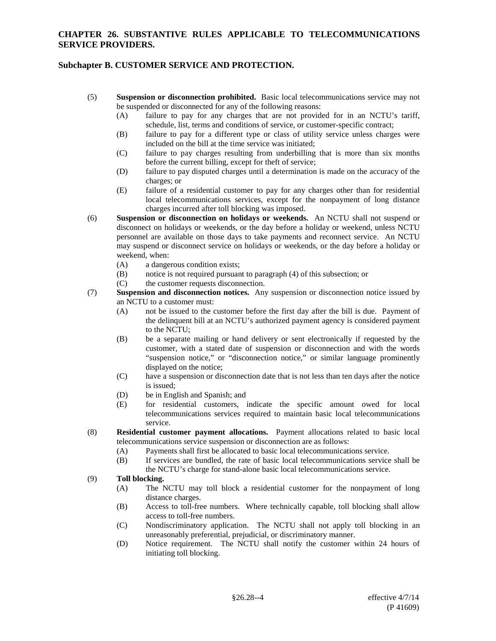# **Subchapter B. CUSTOMER SERVICE AND PROTECTION.**

- (5) **Suspension or disconnection prohibited.** Basic local telecommunications service may not be suspended or disconnected for any of the following reasons:
	- (A) failure to pay for any charges that are not provided for in an NCTU's tariff, schedule, list, terms and conditions of service, or customer-specific contract;
	- (B) failure to pay for a different type or class of utility service unless charges were included on the bill at the time service was initiated;
	- (C) failure to pay charges resulting from underbilling that is more than six months before the current billing, except for theft of service;
	- (D) failure to pay disputed charges until a determination is made on the accuracy of the charges; or
	- (E) failure of a residential customer to pay for any charges other than for residential local telecommunications services, except for the nonpayment of long distance charges incurred after toll blocking was imposed.
- (6) **Suspension or disconnection on holidays or weekends.** An NCTU shall not suspend or disconnect on holidays or weekends, or the day before a holiday or weekend, unless NCTU personnel are available on those days to take payments and reconnect service. An NCTU may suspend or disconnect service on holidays or weekends, or the day before a holiday or weekend, when:
	- (A) a dangerous condition exists;
	- (B) notice is not required pursuant to paragraph (4) of this subsection; or
	- (C) the customer requests disconnection.
- (7) **Suspension and disconnection notices.** Any suspension or disconnection notice issued by an NCTU to a customer must:
	- (A) not be issued to the customer before the first day after the bill is due. Payment of the delinquent bill at an NCTU's authorized payment agency is considered payment to the NCTU;
	- (B) be a separate mailing or hand delivery or sent electronically if requested by the customer, with a stated date of suspension or disconnection and with the words "suspension notice," or "disconnection notice," or similar language prominently displayed on the notice;
	- (C) have a suspension or disconnection date that is not less than ten days after the notice is issued;
	- (D) be in English and Spanish; and
	- (E) for residential customers, indicate the specific amount owed for local telecommunications services required to maintain basic local telecommunications service.
- (8) **Residential customer payment allocations.** Payment allocations related to basic local telecommunications service suspension or disconnection are as follows:
	- (A) Payments shall first be allocated to basic local telecommunications service.
	- (B) If services are bundled, the rate of basic local telecommunications service shall be the NCTU's charge for stand-alone basic local telecommunications service.

### (9) **Toll blocking.**

- (A) The NCTU may toll block a residential customer for the nonpayment of long distance charges.
- (B) Access to toll-free numbers. Where technically capable, toll blocking shall allow access to toll-free numbers.
- (C) Nondiscriminatory application. The NCTU shall not apply toll blocking in an unreasonably preferential, prejudicial, or discriminatory manner.
- (D) Notice requirement. The NCTU shall notify the customer within 24 hours of initiating toll blocking.